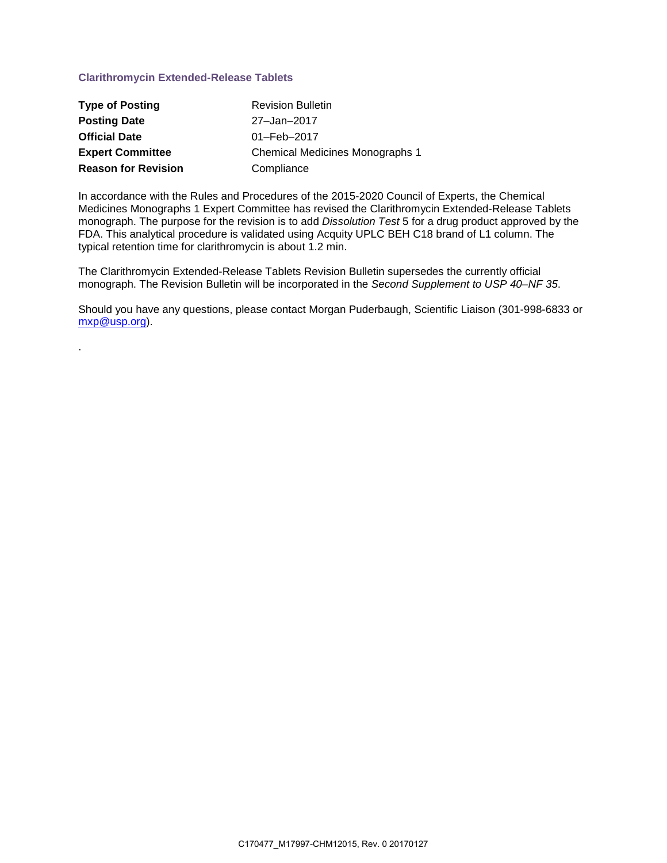# **Clarithromycin Extended-Release Tablets**

.

| <b>Type of Posting</b>     | <b>Revision Bulletin</b>               |
|----------------------------|----------------------------------------|
| <b>Posting Date</b>        | 27-Jan-2017                            |
| <b>Official Date</b>       | $01 - \text{Feb} - 2017$               |
| <b>Expert Committee</b>    | <b>Chemical Medicines Monographs 1</b> |
| <b>Reason for Revision</b> | Compliance                             |

In accordance with the Rules and Procedures of the 2015-2020 Council of Experts, the Chemical Medicines Monographs 1 Expert Committee has revised the Clarithromycin Extended-Release Tablets monograph. The purpose for the revision is to add *Dissolution Test* 5 for a drug product approved by the FDA. This analytical procedure is validated using Acquity UPLC BEH C18 brand of L1 column. The typical retention time for clarithromycin is about 1.2 min.

The Clarithromycin Extended-Release Tablets Revision Bulletin supersedes the currently official monograph. The Revision Bulletin will be incorporated in the *Second Supplement to USP 40–NF 35*.

Should you have any questions, please contact Morgan Puderbaugh, Scientific Liaison (301-998-6833 or [mxp@usp.org\)](mailto:mxp@usp.org).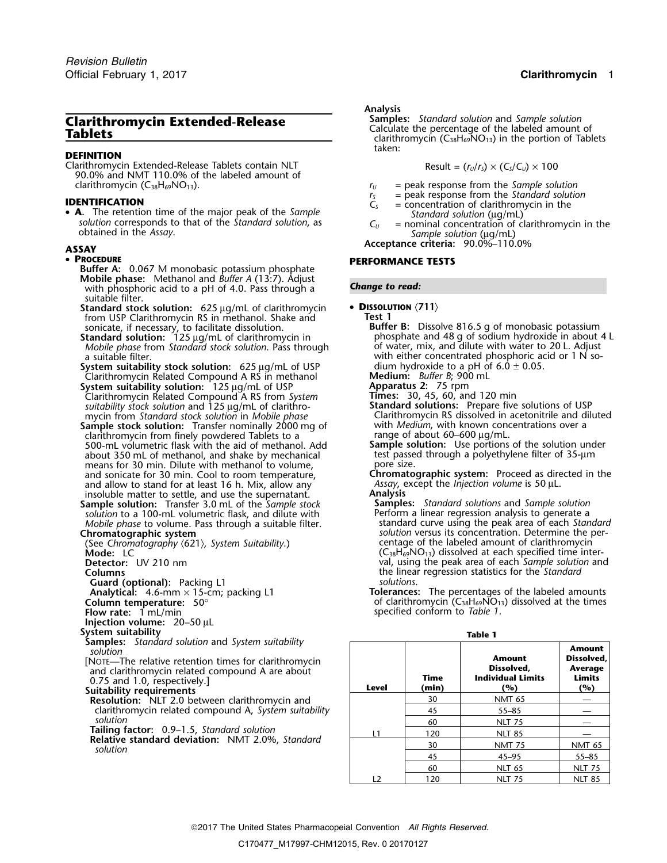## **DEFINITION**

Clarithromycin Extended-Release Tablets contain NLT Result = (*<sup>r</sup>U*/*<sup>r</sup>S*) × (*CS*/*CU*) ×<sup>100</sup> 90.0% and NMT 110.0% of the labeled amount of clarithromycin (C38H69NO13). *<sup>r</sup><sup>U</sup>* = peak response from the *Sample solution*

• A. The retention time of the major peak of the Sample solution corresponds to that of the Standard solution, as  $C_U = \text{nominal concentration of clarity}$  in the obtained in the Assay.

### • PROCEDURE

- **Buffer A:** 0.067 M monobasic potassium phosphate **Mobile phase:** Methanol and *Buffer A* (13:7). Adjust with phosphoric acid to a pH of 4.0. Pass through a **Change to read:** suitable filter.
- **Standard stock solution:** 625 µg/mL of clarithromycin **DISSOLUTION**  $\langle 711 \rangle$  from USP Clarithromycin RS in methanol. Shake and **Firms** from USP Clarithromycin RS in methanol. Shake and **Test 1**
- **Standard solution:**<sup>125</sup> <sup>µ</sup>g/mL of clarithromycin in <sup>p</sup>hosphate and 48 g of sodium hydroxide in about 4 <sup>L</sup> *Mobile phase* from *Standard stock solution*. Pass through of water, mix, and dilute with water to 20 L. Adjust a suitable filter.
- **System suitability stock solution:** 625 µg/mL of USP dium hydroxide to a pH of 6.0 ± 0.05.<br>Clarithromycin Related Compound A RS in methanol **Medium:** *Buffer B*; 900 mL
- Clarithromycin Related Compound A RS in methanol **Medium:** *Buffer B*; 900 mL System suitability solution: 125 µg/mL of USP Clarithromycin Related Compound A RS from *System* **Times:** 30, 45, 60, and 120 min *suitability stock solution* and 125 <sup>µ</sup>g/mL of clarithro- **Standard solutions:** Prepare five solutions of USP
- **Sample stock solution:** Transfer nominally 2000 mg o<sup>f</sup> with *Medium*, with known concentrations over a clarithromycin from finely powdered Tablets to a range of about 60–600  $\mu$ g/mL. 500-mL volumetric flask with the aid of methanol. Add **Sample solution:** Use portions of the solution under about 350 mL of methanol, and shake by mechanical test passe<br>means for 30 min. Dilute with methanol to volume means for 30 min. Dilute with methanol to volume, and sonicate for 30 min. Cool to room temperature. and allow to stand for at least 16 h. Mix, allow any *Assay*, exercise insoluble matter to settle, and use the supernatant. insoluble matter to settle, and use the supernatant. **Analysis**
- **Sample solution:** Transfer 3.0 mL of the *Sample stock* **Samples:** *Standard solutions* and *Sample solution Mobile phase* to volume. Pass through a suitable filter.<br>**Chromatographic system**

(See Chromatography *〈621〉, System Suitability.*)<br>**Mode:** LC

- 
- **Guard (optional):** Packing L1<br>**Analytical:** 4.6-mm × 15-cm; packing L1<br>**Column temperature:** 50°
- 
- **Injection volume:** 20–50 µL
- **System suitability**
- **Samples:** *Standard solution* and *System suitability solution*
- 
- 
- clarithromycin related compound A, System suitability solution
- 
- **Tailing factor:** 0.9–1.5, *Standard solution*<br>**Relative standard deviation:** NMT 2.0%, *Standard solution*

Analysis<br>Samples: Standard solution and Sample solution **Clarithromycin Extended-Release Samples:** *Standard solution* and *Sample solution*<br>
Calculate the servent of Tablets<br>
Samples: *Standard solution* and *Sample* solution of Table clarithromycin (C<sub>38</sub>H<sub>69</sub>NO<sub>13</sub>) in the portion of Tablets taken:

$$
Result = (r_U/r_S) \times (C_S/C_U) \times 100
$$

- 
- $r_s$  = peak response from the *Standard solution*<br> $C_s$  = concentration of clarithromycin in the
- **IDENTIFICATION**<br>• **A**. The retention time of the major peak of the *Sample*  $\vec{C}_s$  = concentration of clarithromycin in the *Standard solution* ( $\mu$ g/mL)
	-
- **Acceptance criteria:** 90.0%–110.0% **ASSAY**

# **PERFORMANCE TESTS**

- 
- sonicate, if necessary, to facilitate dissolution. **Buffer B:** Dissolve 816.5 g of monobasic potassium with either concentrated phosphoric acid or 1 N so-<br>dium hydroxide to a pH of  $6.0 \pm 0.05$ .
	-
	-
	-
- mycin from *Standard stock solution* in *Mobile phase* Clarithromycin RS dissolved in acetonitrile and diluted
	-
	- Chromatographic system: Proceed as directed in the *Assay*, except the *Injection volume* is 50 µL.
- *solution* to a 100-mL volumetric flask, and dilute with **Perform a linear regression analysis to generate a**<br>Mobile phase to volume. Pass through a suitable filter. This standard curve using the peak area of each Standard solution versus its concentration. Determine the per-<br>centage of the labeled amount of clarithromycin (C<sub>38</sub>H<sub>69</sub>NO<sub>13</sub>) dissolved at each specified time inter-**Detector:** UV 210 nm val, using the peak area of each *Sample solution* and **Columns**<br> **Cuard (optional):** Packing L1 external proportional columns solutions.<br>
Solutions.
- Tolerances: The percentages of the labeled amounts **Column temperature:**  $50^{\circ}$   $\overline{50^{\circ}}$  of clarithromycin  $(C_{38}H_{69}NO_{13})$  dissolved at the times<br>**Flow rate:** 1 mL/min **Flow rate:** 1 mL/min specified conform to *Table 1*.

| ۰.<br>٠<br>M. |
|---------------|
|---------------|

| <b>Samples:</b> Standard solution and System suitability<br>solution<br>[NOTE—The relative retention times for clarithromycin<br>and clarithromycin related compound A are about<br>0.75 and 1.0, respectively.]<br>Suitability requirements | Level | Time<br>(min) | Amount<br>Dissolved.<br><b>Individual Limits</b><br>(%) | <b>Amount</b><br>Dissolved.<br>Average<br>Limits<br>(%) |
|----------------------------------------------------------------------------------------------------------------------------------------------------------------------------------------------------------------------------------------------|-------|---------------|---------------------------------------------------------|---------------------------------------------------------|
| <b>Resolution:</b> NLT 2.0 between clarithromycin and                                                                                                                                                                                        |       | 30            | <b>NMT 65</b>                                           |                                                         |
| clarithromycin related compound A, System suitability                                                                                                                                                                                        |       | 45            | $55 - 85$                                               |                                                         |
| solution                                                                                                                                                                                                                                     |       | 60            | <b>NLT 75</b>                                           |                                                         |
| <b>Tailing factor:</b> 0.9–1.5, Standard solution<br>Relative standard deviation: NMT 2.0%, Standard<br>solution                                                                                                                             | l 1   | 120           | <b>NLT 85</b>                                           |                                                         |
|                                                                                                                                                                                                                                              |       | 30            | <b>NMT 75</b>                                           | <b>NMT 65</b>                                           |
|                                                                                                                                                                                                                                              |       | 45            | $45 - 95$                                               | $55 - 85$                                               |
|                                                                                                                                                                                                                                              |       | 60            | <b>NLT 65</b>                                           | <b>NLT 75</b>                                           |
|                                                                                                                                                                                                                                              | 12    | 120           | <b>NLT 75</b>                                           | <b>NLT 85</b>                                           |

C170477\_M17997-CHM12015, Rev. 0 20170127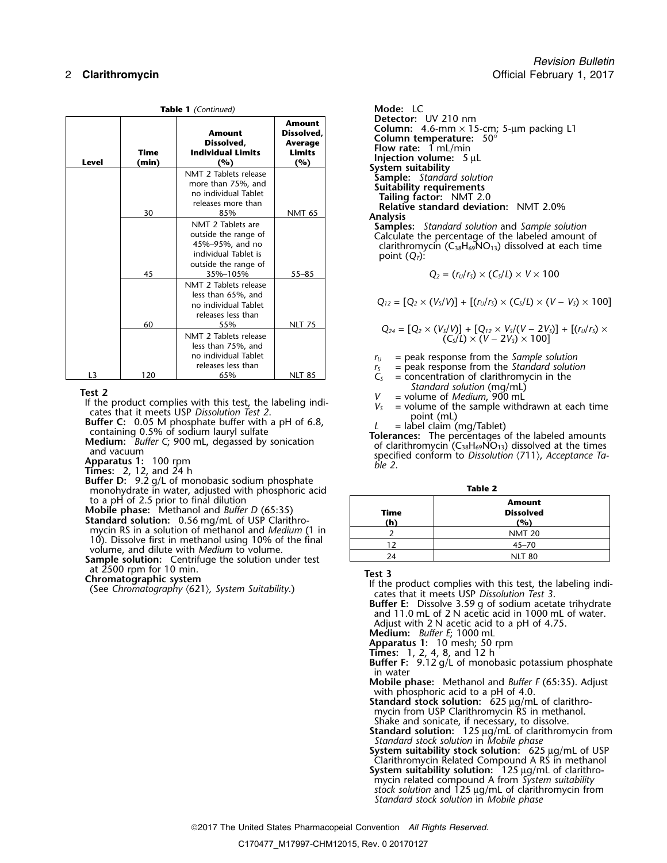|                |               | Table 1 (Continued)                                                                                                      |                                                                | Mode: LC                                                                                                                                                                                                                                                                                                                     |
|----------------|---------------|--------------------------------------------------------------------------------------------------------------------------|----------------------------------------------------------------|------------------------------------------------------------------------------------------------------------------------------------------------------------------------------------------------------------------------------------------------------------------------------------------------------------------------------|
| Level          | Time<br>(min) | Amount<br>Dissolved.<br><b>Individual Limits</b><br>(%)                                                                  | <b>Amount</b><br>Dissolved.<br>Average<br><b>Limits</b><br>(%) | Detector: UV 210 nm<br><b>Column:</b> 4.6-mm $\times$ 15-cm; 5-µm packing L1<br>Column temperature: $50^\circ$<br>Flow rate: $1 mL/min$<br>Injection volume: 5 µL                                                                                                                                                            |
|                | 30            | NMT 2 Tablets release<br>more than 75%, and<br>no individual Tablet<br>releases more than<br>85%                         | <b>NMT 65</b>                                                  | System suitability<br><b>Sample:</b> Standard solution<br>Suitability requirements<br>Tailing factor: NMT 2.0<br><b>Relative standard deviation: NMT 2.0%</b><br><b>Analysis</b>                                                                                                                                             |
|                | 45            | NMT 2 Tablets are<br>outside the range of<br>45%-95%, and no<br>individual Tablet is<br>outside the range of<br>35%-105% | $55 - 85$                                                      | <b>Samples:</b> Standard solution and Sample solution<br>Calculate the percentage of the labeled amount of<br>clarithromycin ( $C_{38}H_{69}NO_{13}$ ) dissolved at each time<br>point $(Q_T)$ :<br>$Q_2 = (r_U/r_S) \times (C_S/L) \times V \times 100$                                                                     |
|                | 60            | NMT 2 Tablets release<br>less than 65%, and<br>no individual Tablet<br>releases less than<br>55%                         | <b>NLT 75</b>                                                  | $Q_{12} = [Q_2 \times (V_S/V)] + [(r_U/r_S) \times (C_S/L) \times (V - V_S) \times 10]$                                                                                                                                                                                                                                      |
| L <sub>3</sub> | 120           | NMT 2 Tablets release<br>less than 75%, and<br>no individual Tablet<br>releases less than<br>65%                         | <b>NLT 85</b>                                                  | $Q_{24} = [Q_2 \times (V_s/V)] + [Q_{12} \times V_s/(V - 2V_s)] + [(r_u/r_s)]$<br>$(C_s/L) \times (V - 2V_s) \times 100$<br>$=$ peak response from the Sample solution<br>$r_{U}$<br>= peak response from the Standard solution<br>r <sub>S</sub><br>$=$ concentration of clarithromycin in the<br>$\mathsf{C}_{\mathsf{C}}$ |

**Apparatus 1:** 100 rpm<br>**Times:** 2, 12, and 24 h<br>**Buffer D:** 9.2 g/L of monobasic sodium phosphate monohydrate in water, adjusted with phosphoric acid **Table 2** to a pH of 2.5 prior to final dilution **Amount**

**Mobile phase:** Methanol and *Buffer D* (65:35) **Time Dissolved**

**Standard solution:** 0.56 mg/mL of USP Clarithro-<br>mycin RS in a solution of methanol and *Medium* (1 in 10). Dissolve first in methanol using 10% of the final volume, and dilute with *Medium* to volume.

**Sample solution:** Centrifuge the solution under test at 2500 rpm for 10 min.

*Revision Bulletin* 2 **Clarithromycin Contract Contract Contract Contract Contract Contract Contract Contract Contract Contract Contract Contract Contract Contract Contract Contract Contract Contract Contract Contract Contract Contract Cont** 

$$
Q_2 = (r_U/r_S) \times (C_S/L) \times V \times 100
$$

less than 65%, and  
no individual Tablet 
$$
Q_{12} = [Q_2 \times (V_5/V)] + [(r_0/r_5) \times (C_5/L) \times (V - V_5) \times 100]
$$

$$
Q_{24} = [Q_2 \times (V_s/V)] + [Q_{12} \times V_s/(V - 2V_s)] + [(r_u/r_s) \times (C_s/L) \times (V - 2V_s)] + [(r_u/r_s) \times (C_s/L) \times (V - 2V_s)] + [(r_u/r_s) \times (C_s/L) \times (V - 2V_s)]
$$

- $r_U$  = peak response from the *Sample solution*<br> $r_S$  = peak response from the *Standard solution*<br> $C_S$  = concentration of clarithromycin in the
	- = concentration of clarithromycin in the *Standard solution* (mg/mL)
- 
- -

Test 2<br>
If the product complies with this test, the labeling indi-<br>
cates that it meets USP Dissolution Test 2.<br>
Buffer C: 0.05 M phosphate buffer and vacuum lauryl sulfate<br>
containing 0.5% of sodium lauryl sulfate<br>
conta

| × | ٠<br>M.<br>٠ |  |
|---|--------------|--|

| <b>Time</b><br>(h) | <b>Amount</b><br><b>Dissolved</b><br>(%) |
|--------------------|------------------------------------------|
|                    | <b>NMT 20</b>                            |
|                    | $45 - 70$                                |
| 74                 | <b>NLT 80</b>                            |

Test 3<br>
Chromatographic system<br>
(See Chromatography (621), System Suitability.)<br>
(See Chromatography (621), System Suitability.)<br>
(See Chromatography (621), System Suitability.)<br>
Cates that it meets USP Dissolution Test 3.

**Buffer E:** Dissolve 3.59 g of sodium acetate trihydrate and 11.0 mL of 2 N acetic acid in 1000 mL of water. Adjust with 2 N acetic acid to a pH of 4.75.

**Medium:** *Buffer E*; 1000 mL

**Apparatus 1:** 10 mesh; 50 rpm

**Times:** 1, 2, 4, 8, and 12 h

- **Buffer F:** 9.12 g/L of monobasic potassium phosphate in water
- **Mobile phase:** Methanol and *Buffer F* (65:35). Adjust with phosphoric acid to a pH of 4.0.
- **Standard stock solution:** 625 µg/mL of clarithromycin from USP Clarithromycin RS in methanol. Shake and sonicate, if necessary, to dissolve.
- **Standard solution:** 125 µg/mL of clarithromycin from *Standard stock solution* in *Mobile phase*
- **System suitability stock solution:** 625 µg/mL of USP Clarithromycin Related Compound A RS in methanol
- **System suitability solution:** 125 µg/mL of clarithromycin related compound A from *System suitability stock solution* and 125 µg/mL of clarithromycin from

*Standard stock solution* in *Mobile phase*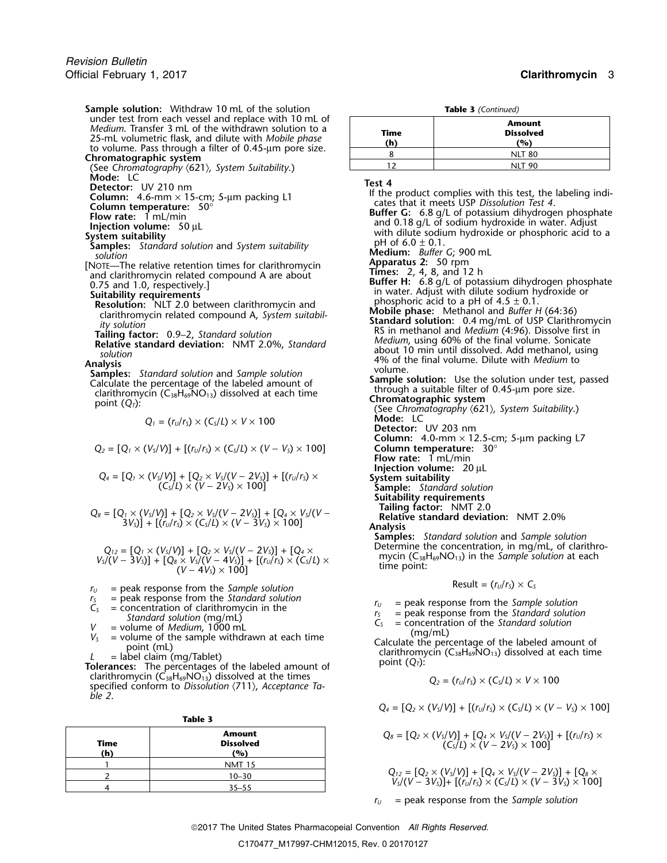**Sample solution:** Withdraw 10 mL of the solution<br>under test from each vessel and replace with 10 mL of Medium. Transfer 3 mL of the withdrawn solution to a<br>25-mL volumetric flask, and dilute with Mobile phase<br>to volume. Pass through a filter of 0.45-µm pore size.<br>**Chromatographic system** 

(See Chromatography  $\langle 621 \rangle$ , System Suitability.)<br>Mode: LC

[NOTE—The relative retention times for clarithromycin and clarithromycin related compound A are about

$$
Q_1 = (r_U/r_S) \times (C_S/L) \times V \times 100
$$

$$
Q_2=[Q_1\times (V_s/V)]+[(r_u/r_s)\times (C_s/L)\times (V-V_s)\times 100]
$$

$$
Q_4=[Q_1\times (V_5/V)]+[Q_2\times V_5/(V-2V_5)]+[(r_U/r_S)\times\\(C_5/L)\times (V-2V_5)\times 100]
$$

$$
Q_8 = [Q_1 \times (V_5/V)] + [Q_2 \times V_5/(V - 2V_5)] + [Q_4 \times V_5/(V - 3V_5)] + [(r_0/r_5) \times (C_5/L) \times (V - 3V_5) \times 100]
$$

$$
Q_{12} = [Q_1 \times (V_5/V)] + [Q_2 \times V_5/(V - 2V_5)] + [Q_4 \times V_5/(V - 3V_5)] + [Q_8 \times V_5/(V - 4V_5)] + [(r_0/r_5) \times (C_5/L) \times (V - 4V_5) \times 100]
$$

- 
- 
- 
- 
- 
- 

*C*<sub>38</sub>H<sub>69</sub>NO<sub>13</sub>) dissolved at the times specified conform to *Dissolution*  $\langle 711 \rangle$ , *Acceptance Table 2*.

|             | Table 3                           |                                                                                                                                                       |
|-------------|-----------------------------------|-------------------------------------------------------------------------------------------------------------------------------------------------------|
| Time<br>(h) | Amount<br><b>Dissolved</b><br>(%) | $Q_8 = [Q_2 \times (V_5/V)] + [Q_4 \times V_5/(V - 2V_5)] + [(r_0/r_5) \times (C_5/L) \times (V - 2V_5) \times 100]$                                  |
|             | <b>NMT 15</b>                     |                                                                                                                                                       |
|             | $10 - 30$                         | $Q_{12} = [Q_2 \times (V_s/V)] + [Q_4 \times V_s/(V - 2V_s)] + [Q_s \times V_s/(V - 3V_s)] + [(r_u/r_s) \times (C_s/L) \times (V - 3V_s) \times 100]$ |
|             | $35 - 55$                         |                                                                                                                                                       |
|             |                                   |                                                                                                                                                       |

| $\frac{1}{2}$ = $\frac{1}{2}$ = $\frac{1}{2}$ = $\frac{1}{2}$ = $\frac{1}{2}$ = $\frac{1}{2}$ = $\frac{1}{2}$ = $\frac{1}{2}$ = $\frac{1}{2}$ = $\frac{1}{2}$ = $\frac{1}{2}$ = $\frac{1}{2}$ = $\frac{1}{2}$ = $\frac{1}{2}$ = $\frac{1}{2}$ = $\frac{1}{2}$ = $\frac{1}{2}$ = $\frac{1}{2}$ = $\frac{1$ |                                   |  |
|-----------------------------------------------------------------------------------------------------------------------------------------------------------------------------------------------------------------------------------------------------------------------------------------------------------|-----------------------------------|--|
| <b>Time</b>                                                                                                                                                                                                                                                                                               | <b>Amount</b><br><b>Dissolved</b> |  |
| (h)                                                                                                                                                                                                                                                                                                       | (%)                               |  |
|                                                                                                                                                                                                                                                                                                           | <b>NLT 80</b>                     |  |
|                                                                                                                                                                                                                                                                                                           | <b>NLT 90</b>                     |  |

- Netector: UV 210 nm<br>
Column: 4.6-mm × 15-cm; 5-μm packing L1<br>
Column temperature: 50°<br>
Flow rate: 1 mL/min<br>
Injection volume: 50 μL<br>
System suitability<br>
System suitability<br>
Surfer G: 6.8 g/L of potassium dihydrogen phos From tellinon time states and alternative relation times in the state of the labeled and data about<br>
and clarithromycin related compound A are about<br>
and 1.0, respectively.]<br>
Suitablity requirements<br>
Resolution: NLT 2.0 b point (*<sup>Q</sup>* **Chromatographic system** *<sup>T</sup>*): (See *Chromatography* 〈621〉*, System Suitability*.) *Mode:* LC **Detector:** UV 203 nm **Column:** 4.0-mm  $\times$  12.5-cm; 5-µm packing L7 *Q<sup>2</sup>* = [*Q<sup>1</sup>* <sup>×</sup> (*VS*/*V*)] + [(*<sup>r</sup>U*/*<sup>r</sup>S*) × (*CS*/*L*) × (*V* <sup>−</sup> *VS*) × 100] **Column temperature:** 30° **Flow rate:** 1 mL/min **Injection volume:** 20 µL System suitability<br>Sample: Standard solution **Suitability requirements** Relative standard deviation: NMT 2.0%<br>Analysis **Samples:** *Standard solution* and *Sample solution* mycin ( $C_{38}H_{69}NO_{13}$ ) in the Sample solution at each time point:  $r_U$  = peak response from the *Sample solution*<br>  $r_S$  = peak response from the *Standard solution*<br>  $r_S$  = peak response from the *Sample* 
	-
	-
	-

 $V_s$  = peak response from the *Standard solution*<br>  $V_s$  = concentration of clarithromycin in the<br> *Standard solution* (mg/mL)<br>  $V_s$  = volume of *Medium*, 1000 mL<br>  $V_s$  = volume of the sample withdrawn at each time<br>
point

$$
Q_2 = (r_U/r_S) \times (C_S/L) \times V \times 100
$$

$$
Q_4 = [Q_2 \times (V_s/V)] + [(r_u/r_s) \times (C_s/L) \times (V - V_s) \times 100]
$$

| Amount     | $Q_8 = [Q_2 \times (V_5/V)] + [Q_4 \times V_5/(V - 2V_5)] + [(r_U/r_S) \times (V - 2V_5)]$ |
|------------|--------------------------------------------------------------------------------------------|
| Dis solved | $(C_5/L) \times (V - 2V_5) \times 100]$                                                    |

$$
Q_{12} = [Q_2 \times (V_5/V)] + [Q_4 \times V_5/(V - 2V_5)] + [Q_8 \times V_5/(V - 3V_5)] + [(r_U/r_5) \times (C_5/L) \times (V - 3V_5) \times 100]
$$

*<sup>r</sup><sup>U</sup>* = peak response from the *Sample solution*

2017 The United States Pharmacopeial Convention *All Rights Reserved.*